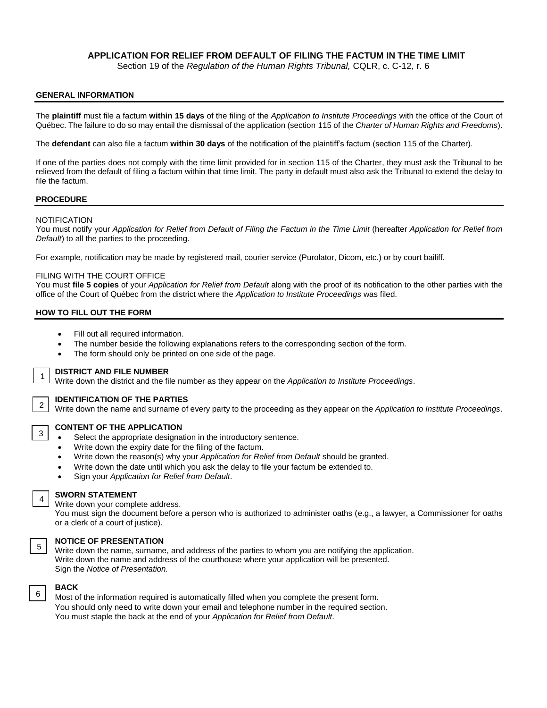# **APPLICATION FOR RELIEF FROM DEFAULT OF FILING THE FACTUM IN THE TIME LIMIT**

Section 19 of the *Regulation of the Human Rights Tribunal,* CQLR, c. C-12, r. 6

## **GENERAL INFORMATION**

The **plaintiff** must file a factum **within 15 days** of the filing of the *Application to Institute Proceedings* with the office of the Court of Québec. The failure to do so may entail the dismissal of the application (section 115 of the *Charter of Human Rights and Freedoms*).

The **defendant** can also file a factum **within 30 days** of the notification of the plaintiff's factum (section 115 of the Charter).

If one of the parties does not comply with the time limit provided for in section 115 of the Charter, they must ask the Tribunal to be relieved from the default of filing a factum within that time limit. The party in default must also ask the Tribunal to extend the delay to file the factum.

### **PROCEDURE**

### **NOTIFICATION**

You must notify your *Application for Relief from Default of Filing the Factum in the Time Limit (hereafter Application for Relief from Default*) to all the parties to the proceeding.

For example, notification may be made by registered mail, courier service (Purolator, Dicom, etc.) or by court bailiff.

### FILING WITH THE COURT OFFICE

You must **file 5 copies** of your *Application for Relief from Default* along with the proof of its notification to the other parties with the office of the Court of Québec from the district where the *Application to Institute Proceedings* was filed.

# **HOW TO FILL OUT THE FORM**

- Fill out all required information.
- The number beside the following explanations refers to the corresponding section of the form.
- The form should only be printed on one side of the page.



# **DISTRICT AND FILE NUMBER**

Write down the district and the file number as they appear on the *Application to Institute Proceedings*.



3

4

5

6

### **IDENTIFICATION OF THE PARTIES**

Write down the name and surname of every party to the proceeding as they appear on the *Application to Institute Proceedings*.

## **CONTENT OF THE APPLICATION**

- Select the appropriate designation in the introductory sentence.
- Write down the expiry date for the filing of the factum.
- Write down the reason(s) why your *Application for Relief from Default* should be granted.
- Write down the date until which you ask the delay to file your factum be extended to.
- Sign your *Application for Relief from Default*.

### **SWORN STATEMENT**

Write down your complete address.

You must sign the document before a person who is authorized to administer oaths (e.g., a lawyer, a Commissioner for oaths or a clerk of a court of justice).

### **NOTICE OF PRESENTATION**

Write down the name, surname, and address of the parties to whom you are notifying the application. Write down the name and address of the courthouse where your application will be presented. Sign the *Notice of Presentation.*

# **BACK**

Most of the information required is automatically filled when you complete the present form. You should only need to write down your email and telephone number in the required section. You must staple the back at the end of your *Application for Relief from Default*.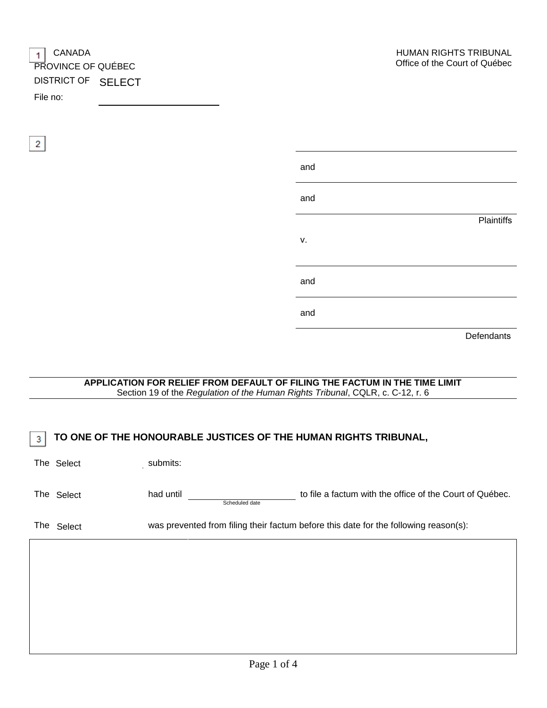| $\vert$ CANADA<br><b>PROVINCE OF QUÉBEC</b><br>DISTRICT OF SELECT |  | <b>HUMAN RK</b><br>Office of the |
|-------------------------------------------------------------------|--|----------------------------------|
| File no:                                                          |  |                                  |

| and |            |
|-----|------------|
| and |            |
|     | Plaintiffs |
| ٧.  |            |
| and |            |
| and |            |
|     | Defendants |

| File no:        |            | DISTRICT OF SELECT                                                                                                                                           |                                                                                      |
|-----------------|------------|--------------------------------------------------------------------------------------------------------------------------------------------------------------|--------------------------------------------------------------------------------------|
|                 |            |                                                                                                                                                              |                                                                                      |
| $\vert 2 \vert$ |            |                                                                                                                                                              |                                                                                      |
|                 |            |                                                                                                                                                              | and                                                                                  |
|                 |            |                                                                                                                                                              | and                                                                                  |
|                 |            |                                                                                                                                                              | <b>Plaintiffs</b>                                                                    |
|                 |            |                                                                                                                                                              | v.                                                                                   |
|                 |            |                                                                                                                                                              | and                                                                                  |
|                 |            |                                                                                                                                                              | and                                                                                  |
|                 |            |                                                                                                                                                              | Defendants                                                                           |
|                 |            |                                                                                                                                                              |                                                                                      |
|                 |            | APPLICATION FOR RELIEF FROM DEFAULT OF FILING THE FACTUM IN THE TIME LIMIT<br>Section 19 of the Regulation of the Human Rights Tribunal, CQLR, c. C-12, r. 6 |                                                                                      |
|                 |            |                                                                                                                                                              |                                                                                      |
| -3              |            | TO ONE OF THE HONOURABLE JUSTICES OF THE HUMAN RIGHTS TRIBUNAL,                                                                                              |                                                                                      |
|                 | The Select | submits:                                                                                                                                                     |                                                                                      |
|                 | The Select | had until<br>Scheduled date                                                                                                                                  | to file a factum with the office of the Court of Québec.                             |
|                 | The Select |                                                                                                                                                              | was prevented from filing their factum before this date for the following reason(s): |
|                 |            |                                                                                                                                                              |                                                                                      |
|                 |            |                                                                                                                                                              |                                                                                      |
|                 |            |                                                                                                                                                              |                                                                                      |
|                 |            |                                                                                                                                                              |                                                                                      |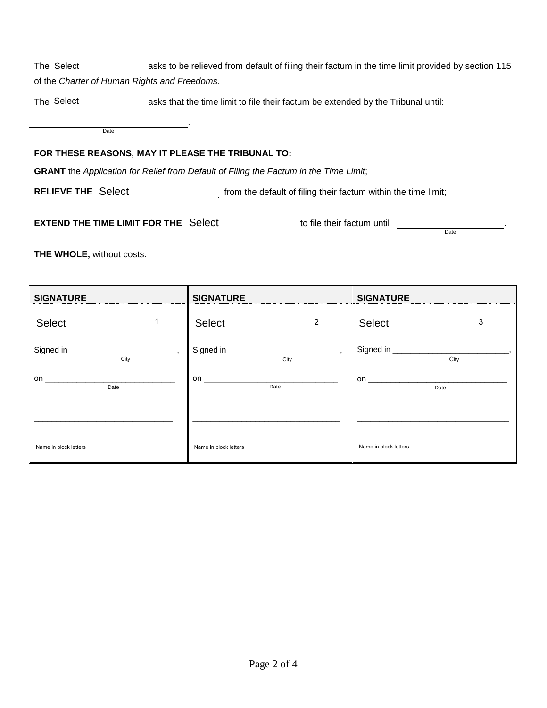asks to be relieved from default of filing their factum in the time limit provided by section 115 of the *Charter of Human Rights and Freedoms*. The Select

asks that the time limit to file their factum be extended by the Tribunal until: The Select

> . Date

# **FOR THESE REASONS, MAY IT PLEASE THE TRIBUNAL TO:**

**GRANT** the *Application for Relief from Default of Filing the Factum in the Time Limit*;

**RELIEVE THE Select** 

from the default of filing their factum within the time limit;

# **EXTEND THE TIME LIMIT FOR THE** Select the factum until to file their factum until

**Date** 

**THE WHOLE,** without costs.

| <b>SIGNATURE</b>                                                                                                                                                                                                                     | <b>SIGNATURE</b>              | <b>SIGNATURE</b>                                                                                                                                                                                                              |
|--------------------------------------------------------------------------------------------------------------------------------------------------------------------------------------------------------------------------------------|-------------------------------|-------------------------------------------------------------------------------------------------------------------------------------------------------------------------------------------------------------------------------|
| $\mathbf 1$                                                                                                                                                                                                                          | $\overline{c}$                | Select                                                                                                                                                                                                                        |
| Select                                                                                                                                                                                                                               | Select                        | 3                                                                                                                                                                                                                             |
|                                                                                                                                                                                                                                      |                               |                                                                                                                                                                                                                               |
| City                                                                                                                                                                                                                                 | City                          | City                                                                                                                                                                                                                          |
| on <b>contract of the contract of the contract of the contract of the contract of the contract of the contract of the contract of the contract of the contract of the contract of the contract of the contract of the contract o</b> | on __________________________ | on a contract of the contract of the contract of the contract of the contract of the contract of the contract of the contract of the contract of the contract of the contract of the contract of the contract of the contract |
| Date                                                                                                                                                                                                                                 | Date                          | Date                                                                                                                                                                                                                          |
|                                                                                                                                                                                                                                      |                               |                                                                                                                                                                                                                               |
| Name in block letters                                                                                                                                                                                                                | Name in block letters         | Name in block letters                                                                                                                                                                                                         |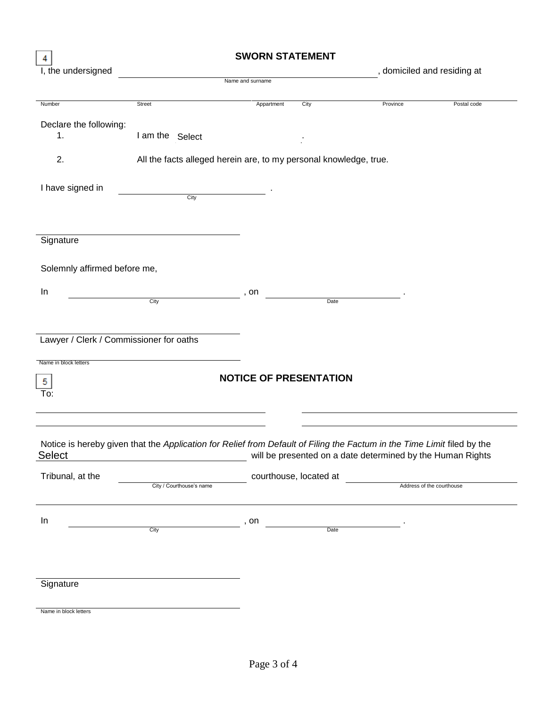| 4                            |                                         | <b>SWORN STATEMENT</b>                                                                                                  |                             |                           |
|------------------------------|-----------------------------------------|-------------------------------------------------------------------------------------------------------------------------|-----------------------------|---------------------------|
| I, the undersigned           |                                         |                                                                                                                         | , domiciled and residing at |                           |
|                              |                                         | Name and surname                                                                                                        |                             |                           |
| Number                       | Street                                  | Appartment<br>City                                                                                                      | Province                    | Postal code               |
|                              |                                         |                                                                                                                         |                             |                           |
| Declare the following:<br>1. | I am the Select                         |                                                                                                                         |                             |                           |
|                              |                                         |                                                                                                                         |                             |                           |
| 2.                           |                                         | All the facts alleged herein are, to my personal knowledge, true.                                                       |                             |                           |
|                              |                                         |                                                                                                                         |                             |                           |
| I have signed in             | $\overline{C}$ ity                      |                                                                                                                         |                             |                           |
|                              |                                         |                                                                                                                         |                             |                           |
|                              |                                         |                                                                                                                         |                             |                           |
| Signature                    |                                         |                                                                                                                         |                             |                           |
|                              |                                         |                                                                                                                         |                             |                           |
| Solemnly affirmed before me, |                                         |                                                                                                                         |                             |                           |
|                              |                                         |                                                                                                                         |                             |                           |
| In                           | City                                    | , on<br>Date                                                                                                            |                             |                           |
|                              |                                         |                                                                                                                         |                             |                           |
|                              |                                         |                                                                                                                         |                             |                           |
|                              | Lawyer / Clerk / Commissioner for oaths |                                                                                                                         |                             |                           |
|                              |                                         |                                                                                                                         |                             |                           |
| Name in block letters        |                                         |                                                                                                                         |                             |                           |
| 5                            |                                         | <b>NOTICE OF PRESENTATION</b>                                                                                           |                             |                           |
| To:                          |                                         |                                                                                                                         |                             |                           |
|                              |                                         |                                                                                                                         |                             |                           |
|                              |                                         |                                                                                                                         |                             |                           |
|                              |                                         | Notice is hereby given that the Application for Relief from Default of Filing the Factum in the Time Limit filed by the |                             |                           |
| <b>Select</b>                |                                         | will be presented on a date determined by the Human Rights                                                              |                             |                           |
| Tribunal, at the             |                                         | courthouse, located at                                                                                                  |                             |                           |
|                              | City / Courthouse's name                |                                                                                                                         |                             | Address of the courthouse |
|                              |                                         |                                                                                                                         |                             |                           |
| In                           |                                         | , on                                                                                                                    |                             |                           |
|                              | City                                    | Date                                                                                                                    |                             |                           |
|                              |                                         |                                                                                                                         |                             |                           |
|                              |                                         |                                                                                                                         |                             |                           |
|                              |                                         |                                                                                                                         |                             |                           |
| Signature                    |                                         |                                                                                                                         |                             |                           |
| Name in block letters        |                                         |                                                                                                                         |                             |                           |
|                              |                                         |                                                                                                                         |                             |                           |